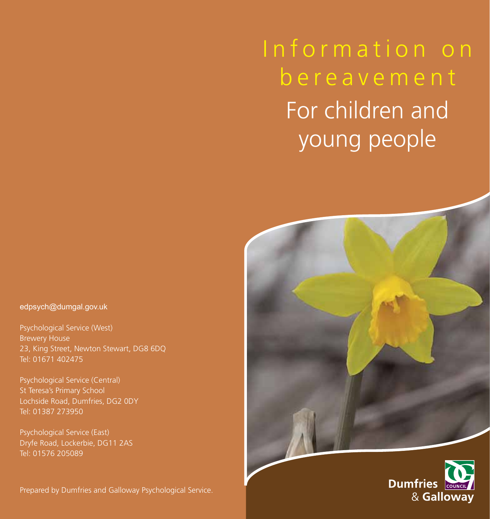Information on bereavement For children and young people





edpsych@dumgal.gov.uk

Psychological Service (West) Brewery House 23, King Street, Newton Stewart, DG8 6DQ Tel: 01671 402475

Psychological Service (Central) St Teresa's Primary School Lochside Road, Dumfries, DG2 0DY Tel: 01387 273950

Psychological Service (East) Dryfe Road, Lockerbie, DG11 2AS Tel: 01576 205089

Prepared by Dumfries and Galloway Psychological Service.